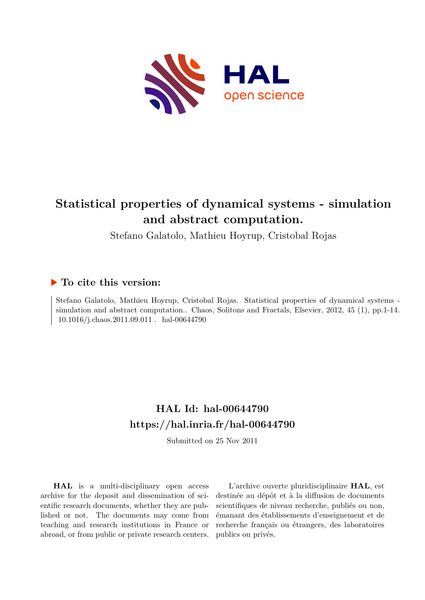

# **Statistical properties of dynamical systems - simulation and abstract computation.**

Stefano Galatolo, Mathieu Hoyrup, Cristobal Rojas

# **To cite this version:**

Stefano Galatolo, Mathieu Hoyrup, Cristobal Rojas. Statistical properties of dynamical systems simulation and abstract computation.. Chaos, Solitons and Fractals, Elsevier, 2012, 45 (1), pp.1-14.  $10.1016/j.chaos.2011.09.011$ . hal-00644790

# **HAL Id: hal-00644790 <https://hal.inria.fr/hal-00644790>**

Submitted on 25 Nov 2011

**HAL** is a multi-disciplinary open access archive for the deposit and dissemination of scientific research documents, whether they are published or not. The documents may come from teaching and research institutions in France or abroad, or from public or private research centers.

L'archive ouverte pluridisciplinaire **HAL**, est destinée au dépôt et à la diffusion de documents scientifiques de niveau recherche, publiés ou non, émanant des établissements d'enseignement et de recherche français ou étrangers, des laboratoires publics ou privés.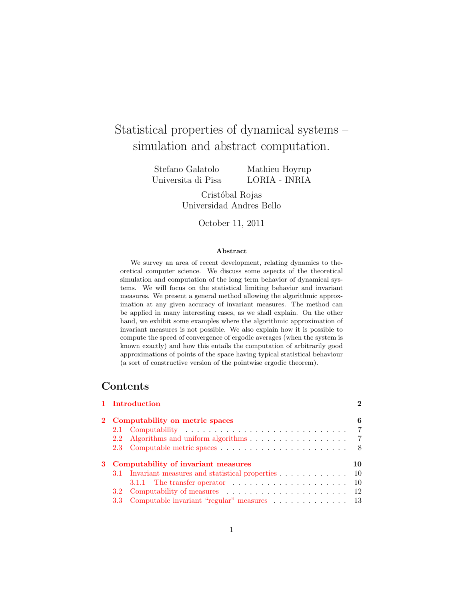# Statistical properties of dynamical systems – simulation and abstract computation.

Stefano Galatolo Universita di Pisa Mathieu Hoyrup LORIA - INRIA

Cristóbal Rojas Universidad Andres Bello

October 11, 2011

#### Abstract

We survey an area of recent development, relating dynamics to theoretical computer science. We discuss some aspects of the theoretical simulation and computation of the long term behavior of dynamical systems. We will focus on the statistical limiting behavior and invariant measures. We present a general method allowing the algorithmic approximation at any given accuracy of invariant measures. The method can be applied in many interesting cases, as we shall explain. On the other hand, we exhibit some examples where the algorithmic approximation of invariant measures is not possible. We also explain how it is possible to compute the speed of convergence of ergodic averages (when the system is known exactly) and how this entails the computation of arbitrarily good approximations of points of the space having typical statistical behaviour (a sort of constructive version of the pointwise ergodic theorem).

# Contents

| 2 Computability on metric spaces |                                                                                    |                |  |  |
|----------------------------------|------------------------------------------------------------------------------------|----------------|--|--|
|                                  |                                                                                    | $\overline{7}$ |  |  |
|                                  |                                                                                    |                |  |  |
|                                  |                                                                                    |                |  |  |
|                                  |                                                                                    |                |  |  |
|                                  |                                                                                    |                |  |  |
|                                  | 3 Computability of invariant measures                                              | 10             |  |  |
|                                  | 3.1 Invariant measures and statistical properties $\ldots \ldots \ldots \ldots$ 10 |                |  |  |
|                                  |                                                                                    |                |  |  |
|                                  |                                                                                    |                |  |  |
|                                  | 3.3 Computable invariant "regular" measures 13                                     |                |  |  |

1 Introduction 2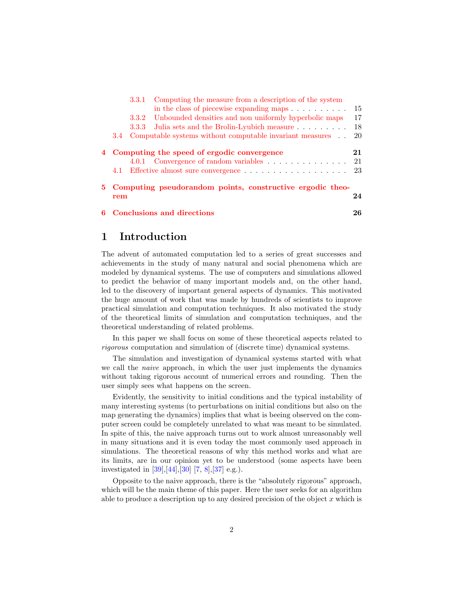|                                                             | 3.3.1 | Computing the measure from a description of the system       |    |  |  |
|-------------------------------------------------------------|-------|--------------------------------------------------------------|----|--|--|
|                                                             |       | in the class of piecewise expanding maps $\dots \dots \dots$ | 15 |  |  |
|                                                             | 3.3.2 | Unbounded densities and non uniformly hyperbolic maps        | 17 |  |  |
|                                                             | 3.3.3 | Julia sets and the Brolin-Lyubich measure                    | 18 |  |  |
|                                                             |       | 3.4 Computable systems without computable invariant measures | 20 |  |  |
|                                                             |       | 4 Computing the speed of ergodic convergence                 | 21 |  |  |
|                                                             |       | 4.0.1 Convergence of random variables                        | 21 |  |  |
|                                                             |       | 4.1 Effective almost sure convergence 23                     |    |  |  |
| 5 Computing pseudorandom points, constructive ergodic theo- |       |                                                              |    |  |  |
| rem                                                         |       |                                                              | 24 |  |  |
| 6 Conclusions and directions                                |       |                                                              |    |  |  |
|                                                             |       |                                                              |    |  |  |

## 1 Introduction

The advent of automated computation led to a series of great successes and achievements in the study of many natural and social phenomena which are modeled by dynamical systems. The use of computers and simulations allowed to predict the behavior of many important models and, on the other hand, led to the discovery of important general aspects of dynamics. This motivated the huge amount of work that was made by hundreds of scientists to improve practical simulation and computation techniques. It also motivated the study of the theoretical limits of simulation and computation techniques, and the theoretical understanding of related problems.

In this paper we shall focus on some of these theoretical aspects related to rigorous computation and simulation of (discrete time) dynamical systems.

The simulation and investigation of dynamical systems started with what we call the naive approach, in which the user just implements the dynamics without taking rigorous account of numerical errors and rounding. Then the user simply sees what happens on the screen.

Evidently, the sensitivity to initial conditions and the typical instability of many interesting systems (to perturbations on initial conditions but also on the map generating the dynamics) implies that what is beeing observed on the computer screen could be completely unrelated to what was meant to be simulated. In spite of this, the naive approach turns out to work almost unreasonably well in many situations and it is even today the most commonly used approach in simulations. The theoretical reasons of why this method works and what are its limits, are in our opinion yet to be understood (some aspects have been investigated in [39],[44],[30] [7, 8],[37] e.g.).

Opposite to the naive approach, there is the "absolutely rigorous" approach, which will be the main theme of this paper. Here the user seeks for an algorithm able to produce a description up to any desired precision of the object  $x$  which is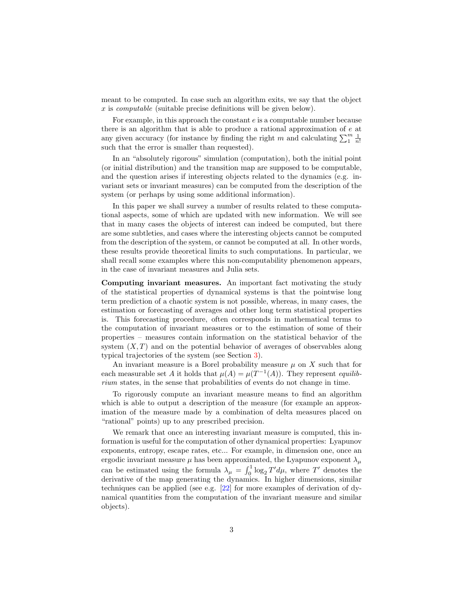meant to be computed. In case such an algorithm exits, we say that the object x is computable (suitable precise definitions will be given below).

For example, in this approach the constant  $e$  is a computable number because there is an algorithm that is able to produce a rational approximation of e at any given accuracy (for instance by finding the right m and calculating  $\sum_{1}^{m} \frac{1}{n!}$ such that the error is smaller than requested).

In an "absolutely rigorous" simulation (computation), both the initial point (or initial distribution) and the transition map are supposed to be computable, and the question arises if interesting objects related to the dynamics (e.g. invariant sets or invariant measures) can be computed from the description of the system (or perhaps by using some additional information).

In this paper we shall survey a number of results related to these computational aspects, some of which are updated with new information. We will see that in many cases the objects of interest can indeed be computed, but there are some subtleties, and cases where the interesting objects cannot be computed from the description of the system, or cannot be computed at all. In other words, these results provide theoretical limits to such computations. In particular, we shall recall some examples where this non-computability phenomenon appears, in the case of invariant measures and Julia sets.

Computing invariant measures. An important fact motivating the study of the statistical properties of dynamical systems is that the pointwise long term prediction of a chaotic system is not possible, whereas, in many cases, the estimation or forecasting of averages and other long term statistical properties is. This forecasting procedure, often corresponds in mathematical terms to the computation of invariant measures or to the estimation of some of their properties – measures contain information on the statistical behavior of the system  $(X, T)$  and on the potential behavior of averages of observables along typical trajectories of the system (see Section 3).

An invariant measure is a Borel probability measure  $\mu$  on X such that for each measurable set A it holds that  $\mu(A) = \mu(T^{-1}(A))$ . They represent equilibrium states, in the sense that probabilities of events do not change in time.

To rigorously compute an invariant measure means to find an algorithm which is able to output a description of the measure (for example an approximation of the measure made by a combination of delta measures placed on "rational" points) up to any prescribed precision.

We remark that once an interesting invariant measure is computed, this information is useful for the computation of other dynamical properties: Lyapunov exponents, entropy, escape rates, etc... For example, in dimension one, once an ergodic invariant measure  $\mu$  has been approximated, the Lyapunov exponent  $\lambda_{\mu}$ can be estimated using the formula  $\lambda_{\mu} = \int_0^1 \log_2 T' d\mu$ , where T' denotes the derivative of the map generating the dynamics. In higher dimensions, similar techniques can be applied (see e.g. [22] for more examples of derivation of dynamical quantities from the computation of the invariant measure and similar objects).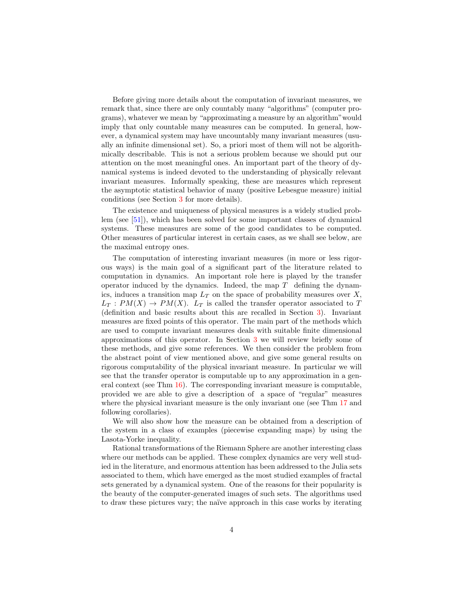Before giving more details about the computation of invariant measures, we remark that, since there are only countably many "algorithms" (computer programs), whatever we mean by "approximating a measure by an algorithm"would imply that only countable many measures can be computed. In general, however, a dynamical system may have uncountably many invariant measures (usually an infinite dimensional set). So, a priori most of them will not be algorithmically describable. This is not a serious problem because we should put our attention on the most meaningful ones. An important part of the theory of dynamical systems is indeed devoted to the understanding of physically relevant invariant measures. Informally speaking, these are measures which represent the asymptotic statistical behavior of many (positive Lebesgue measure) initial conditions (see Section 3 for more details).

The existence and uniqueness of physical measures is a widely studied problem (see [51]), which has been solved for some important classes of dynamical systems. These measures are some of the good candidates to be computed. Other measures of particular interest in certain cases, as we shall see below, are the maximal entropy ones.

The computation of interesting invariant measures (in more or less rigorous ways) is the main goal of a significant part of the literature related to computation in dynamics. An important role here is played by the transfer operator induced by the dynamics. Indeed, the map  $T$  defining the dynamics, induces a transition map  $L<sub>T</sub>$  on the space of probability measures over  $X$ ,  $L_T: PM(X) \to PM(X)$ .  $L_T$  is called the transfer operator associated to T (definition and basic results about this are recalled in Section 3). Invariant measures are fixed points of this operator. The main part of the methods which are used to compute invariant measures deals with suitable finite dimensional approximations of this operator. In Section 3 we will review briefly some of these methods, and give some references. We then consider the problem from the abstract point of view mentioned above, and give some general results on rigorous computability of the physical invariant measure. In particular we will see that the transfer operator is computable up to any approximation in a general context (see Thm  $16$ ). The corresponding invariant measure is computable, provided we are able to give a description of a space of "regular" measures where the physical invariant measure is the only invariant one (see Thm 17 and following corollaries).

We will also show how the measure can be obtained from a description of the system in a class of examples (piecewise expanding maps) by using the Lasota-Yorke inequality.

Rational transformations of the Riemann Sphere are another interesting class where our methods can be applied. These complex dynamics are very well studied in the literature, and enormous attention has been addressed to the Julia sets associated to them, which have emerged as the most studied examples of fractal sets generated by a dynamical system. One of the reasons for their popularity is the beauty of the computer-generated images of such sets. The algorithms used to draw these pictures vary; the na¨ıve approach in this case works by iterating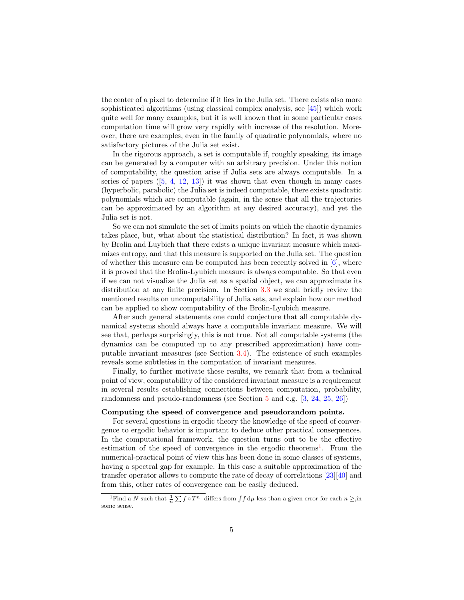the center of a pixel to determine if it lies in the Julia set. There exists also more sophisticated algorithms (using classical complex analysis, see [45]) which work quite well for many examples, but it is well known that in some particular cases computation time will grow very rapidly with increase of the resolution. Moreover, there are examples, even in the family of quadratic polynomials, where no satisfactory pictures of the Julia set exist.

In the rigorous approach, a set is computable if, roughly speaking, its image can be generated by a computer with an arbitrary precision. Under this notion of computability, the question arise if Julia sets are always computable. In a series of papers  $([5, 4, 12, 13])$  it was shown that even though in many cases (hyperbolic, parabolic) the Julia set is indeed computable, there exists quadratic polynomials which are computable (again, in the sense that all the trajectories can be approximated by an algorithm at any desired accuracy), and yet the Julia set is not.

So we can not simulate the set of limits points on which the chaotic dynamics takes place, but, what about the statistical distribution? In fact, it was shown by Brolin and Luybich that there exists a unique invariant measure which maximizes entropy, and that this measure is supported on the Julia set. The question of whether this measure can be computed has been recently solved in [6], where it is proved that the Brolin-Lyubich measure is always computable. So that even if we can not visualize the Julia set as a spatial object, we can approximate its distribution at any finite precision. In Section 3.3 we shall briefly review the mentioned results on uncomputability of Julia sets, and explain how our method can be applied to show computability of the Brolin-Lyubich measure.

After such general statements one could conjecture that all computable dynamical systems should always have a computable invariant measure. We will see that, perhaps surprisingly, this is not true. Not all computable systems (the dynamics can be computed up to any prescribed approximation) have computable invariant measures (see Section 3.4). The existence of such examples reveals some subtleties in the computation of invariant measures.

Finally, to further motivate these results, we remark that from a technical point of view, computability of the considered invariant measure is a requirement in several results establishing connections between computation, probability, randomness and pseudo-randomness (see Section 5 and e.g. [3, 24, 25, 26])

#### Computing the speed of convergence and pseudorandom points.

For several questions in ergodic theory the knowledge of the speed of convergence to ergodic behavior is important to deduce other practical consequences. In the computational framework, the question turns out to be the effective estimation of the speed of convergence in the ergodic theorems<sup>1</sup>. From the numerical-practical point of view this has been done in some classes of systems, having a spectral gap for example. In this case a suitable approximation of the transfer operator allows to compute the rate of decay of correlations [23][40] and from this, other rates of convergence can be easily deduced.

<sup>&</sup>lt;sup>1</sup>Find a N such that  $\frac{1}{n} \sum f \circ T^n$  differs from  $\int f d\mu$  less than a given error for each  $n \ge \infty$ , in some sense.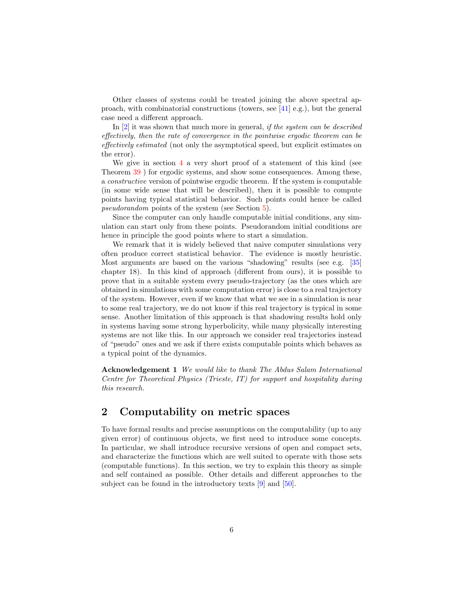Other classes of systems could be treated joining the above spectral approach, with combinatorial constructions (towers, see [41] e.g.), but the general case need a different approach.

In  $[2]$  it was shown that much more in general, if the system can be described effectively, then the rate of convergence in the pointwise ergodic theorem can be effectively estimated (not only the asymptotical speed, but explicit estimates on the error).

We give in section 4 a very short proof of a statement of this kind (see Theorem 39 ) for ergodic systems, and show some consequences. Among these, a constructive version of pointwise ergodic theorem. If the system is computable (in some wide sense that will be described), then it is possible to compute points having typical statistical behavior. Such points could hence be called pseudorandom points of the system (see Section 5).

Since the computer can only handle computable initial conditions, any simulation can start only from these points. Pseudorandom initial conditions are hence in principle the good points where to start a simulation.

We remark that it is widely believed that naive computer simulations very often produce correct statistical behavior. The evidence is mostly heuristic. Most arguments are based on the various "shadowing" results (see e.g. [35] chapter 18). In this kind of approach (different from ours), it is possible to prove that in a suitable system every pseudo-trajectory (as the ones which are obtained in simulations with some computation error) is close to a real trajectory of the system. However, even if we know that what we see in a simulation is near to some real trajectory, we do not know if this real trajectory is typical in some sense. Another limitation of this approach is that shadowing results hold only in systems having some strong hyperbolicity, while many physically interesting systems are not like this. In our approach we consider real trajectories instead of "pseudo" ones and we ask if there exists computable points which behaves as a typical point of the dynamics.

Acknowledgement 1 We would like to thank The Abdus Salam International Centre for Theoretical Physics (Trieste, IT) for support and hospitality during this research.

## 2 Computability on metric spaces

To have formal results and precise assumptions on the computability (up to any given error) of continuous objects, we first need to introduce some concepts. In particular, we shall introduce recursive versions of open and compact sets, and characterize the functions which are well suited to operate with those sets (computable functions). In this section, we try to explain this theory as simple and self contained as possible. Other details and different approaches to the subject can be found in the introductory texts  $[9]$  and  $[50]$ .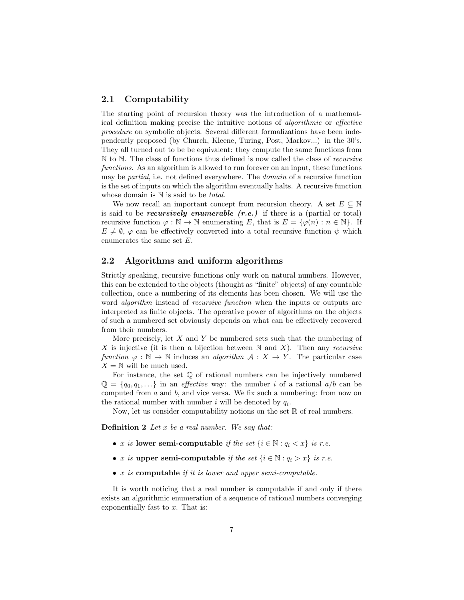#### 2.1 Computability

The starting point of recursion theory was the introduction of a mathematical definition making precise the intuitive notions of algorithmic or effective procedure on symbolic objects. Several different formalizations have been independently proposed (by Church, Kleene, Turing, Post, Markov...) in the 30's. They all turned out to be be equivalent: they compute the same functions from N to N. The class of functions thus defined is now called the class of recursive functions. As an algorithm is allowed to run forever on an input, these functions may be partial, i.e. not defined everywhere. The domain of a recursive function is the set of inputs on which the algorithm eventually halts. A recursive function whose domain is  $N$  is said to be *total*.

We now recall an important concept from recursion theory. A set  $E \subseteq \mathbb{N}$ is said to be *recursively enumerable*  $(r.e.)$  if there is a (partial or total) recursive function  $\varphi : \mathbb{N} \to \mathbb{N}$  enumerating E, that is  $E = {\varphi(n) : n \in \mathbb{N}}$ . If  $E \neq \emptyset$ ,  $\varphi$  can be effectively converted into a total recursive function  $\psi$  which enumerates the same set E.

#### 2.2 Algorithms and uniform algorithms

Strictly speaking, recursive functions only work on natural numbers. However, this can be extended to the objects (thought as "finite" objects) of any countable collection, once a numbering of its elements has been chosen. We will use the word *algorithm* instead of *recursive function* when the inputs or outputs are interpreted as finite objects. The operative power of algorithms on the objects of such a numbered set obviously depends on what can be effectively recovered from their numbers.

More precisely, let  $X$  and  $Y$  be numbered sets such that the numbering of X is injective (it is then a bijection between  $\mathbb N$  and X). Then any *recursive* function  $\varphi : \mathbb{N} \to \mathbb{N}$  induces an algorithm  $\mathcal{A} : X \to Y$ . The particular case  $X = \mathbb{N}$  will be much used.

For instance, the set Q of rational numbers can be injectively numbered  $\mathbb{Q} = \{q_0, q_1, \ldots\}$  in an *effective* way: the number i of a rational  $a/b$  can be computed from  $a$  and  $b$ , and vice versa. We fix such a numbering: from now on the rational number with number  $i$  will be denoted by  $q_i$ .

Now, let us consider computability notions on the set  $\mathbb R$  of real numbers.

**Definition 2** Let x be a real number. We say that:

- x is lower semi-computable if the set  $\{i \in \mathbb{N} : q_i < x\}$  is r.e.
- x is upper semi-computable if the set  $\{i \in \mathbb{N} : q_i > x\}$  is r.e.
- $x$  is computable if it is lower and upper semi-computable.

It is worth noticing that a real number is computable if and only if there exists an algorithmic enumeration of a sequence of rational numbers converging exponentially fast to  $x$ . That is: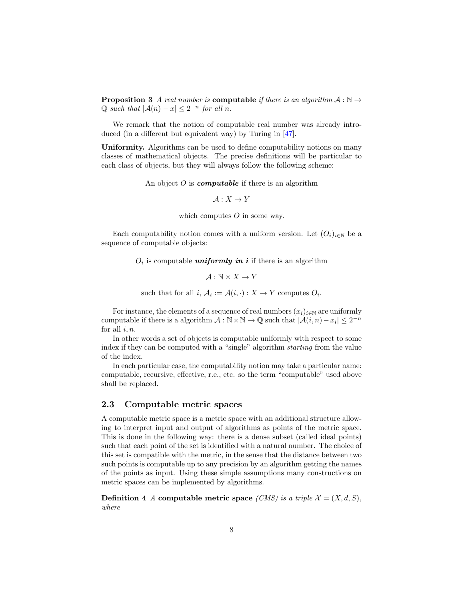**Proposition 3** A real number is **computable** if there is an algorithm  $A : \mathbb{N} \rightarrow$  $\mathbb Q$  such that  $|\mathcal A(n)-x|\leq 2^{-n}$  for all n.

We remark that the notion of computable real number was already introduced (in a different but equivalent way) by Turing in [47].

Uniformity. Algorithms can be used to define computability notions on many classes of mathematical objects. The precise definitions will be particular to each class of objects, but they will always follow the following scheme:

An object  $O$  is *computable* if there is an algorithm

$$
\mathcal{A}:X\to Y
$$

which computes  $O$  in some way.

Each computability notion comes with a uniform version. Let  $(O_i)_{i\in\mathbb{N}}$  be a sequence of computable objects:

 $O_i$  is computable **uniformly in i** if there is an algorithm

$$
\mathcal{A}: \mathbb{N} \times X \to Y
$$

such that for all  $i, \mathcal{A}_i := \mathcal{A}(i, \cdot) : X \to Y$  computes  $O_i$ .

For instance, the elements of a sequence of real numbers  $(x_i)_{i\in\mathbb{N}}$  are uniformly computable if there is a algorithm  $\mathcal{A}: \mathbb{N} \times \mathbb{N} \to \mathbb{Q}$  such that  $|\mathcal{A}(i, n) - x_i| \leq 2^{-n}$ for all  $i, n$ .

In other words a set of objects is computable uniformly with respect to some index if they can be computed with a "single" algorithm starting from the value of the index.

In each particular case, the computability notion may take a particular name: computable, recursive, effective, r.e., etc. so the term "computable" used above shall be replaced.

### 2.3 Computable metric spaces

A computable metric space is a metric space with an additional structure allowing to interpret input and output of algorithms as points of the metric space. This is done in the following way: there is a dense subset (called ideal points) such that each point of the set is identified with a natural number. The choice of this set is compatible with the metric, in the sense that the distance between two such points is computable up to any precision by an algorithm getting the names of the points as input. Using these simple assumptions many constructions on metric spaces can be implemented by algorithms.

**Definition 4** A computable metric space (CMS) is a triple  $\mathcal{X} = (X, d, S)$ , where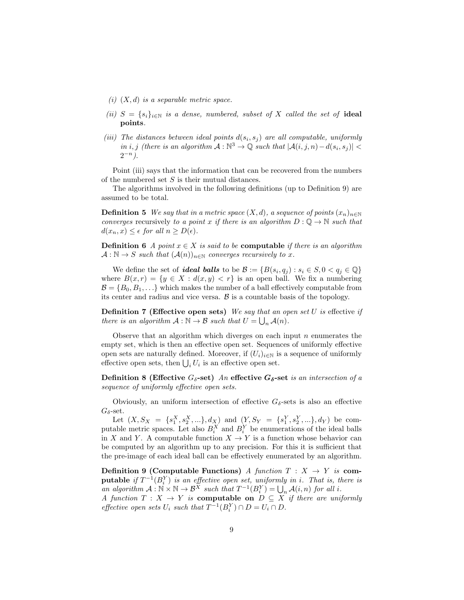- (i)  $(X, d)$  is a separable metric space.
- (ii)  $S = \{s_i\}_{i \in \mathbb{N}}$  is a dense, numbered, subset of X called the set of **ideal** points.
- (iii) The distances between ideal points  $d(s_i, s_j)$  are all computable, uniformly in i, j (there is an algorithm  $\mathcal{A}: \mathbb{N}^3 \to \mathbb{Q}$  such that  $|\mathcal{A}(i,j,n)-d(s_i,s_j)| <$  $2^{-n}$ ).

Point (iii) says that the information that can be recovered from the numbers of the numbered set  $S$  is their mutual distances.

The algorithms involved in the following definitions (up to Definition 9) are assumed to be total.

**Definition 5** We say that in a metric space  $(X, d)$ , a sequence of points  $(x_n)_{n \in \mathbb{N}}$ converges recursively to a point x if there is an algorithm  $D: \mathbb{Q} \to \mathbb{N}$  such that  $d(x_n, x) \leq \epsilon$  for all  $n \geq D(\epsilon)$ .

**Definition 6** A point  $x \in X$  is said to be **computable** if there is an algorithm  $\mathcal{A}: \mathbb{N} \to S$  such that  $(\mathcal{A}(n))_{n \in \mathbb{N}}$  converges recursively to x.

We define the set of *ideal balls* to be  $\mathcal{B} := \{B(s_i, q_j) : s_i \in S, 0 < q_j \in \mathbb{Q}\}\$ where  $B(x, r) = \{y \in X : d(x, y) < r\}$  is an open ball. We fix a numbering  $\mathcal{B} = \{B_0, B_1, \ldots\}$  which makes the number of a ball effectively computable from its center and radius and vice versa.  $\beta$  is a countable basis of the topology.

**Definition 7 (Effective open sets)** We say that an open set  $U$  is effective if there is an algorithm  $A : \mathbb{N} \to \mathcal{B}$  such that  $U = \bigcup_n \mathcal{A}(n)$ .

Observe that an algorithm which diverges on each input  $n$  enumerates the empty set, which is then an effective open set. Sequences of uniformly effective open sets are naturally defined. Moreover, if  $(U_i)_{i\in\mathbb{N}}$  is a sequence of uniformly effective open sets, then  $\bigcup_i U_i$  is an effective open set.

Definition 8 (Effective  $G_{\delta}$ -set) An effective  $G_{\delta}$ -set is an intersection of a sequence of uniformly effective open sets.

Obviously, an uniform intersection of effective  $G_{\delta}$ -sets is also an effective  $G_{\delta}$ -set.

Let  $(X, S_X = \{s_1^X, s_2^X, ...\}, d_X)$  and  $(Y, S_Y = \{s_1^Y, s_2^Y, ...\}, d_Y)$  be computable metric spaces. Let also  $B_i^X$  and  $B_i^Y$  be enumerations of the ideal balls in X and Y. A computable function  $X \to Y$  is a function whose behavior can be computed by an algorithm up to any precision. For this it is sufficient that the pre-image of each ideal ball can be effectively enumerated by an algorithm.

Definition 9 (Computable Functions) A function  $T : X \rightarrow Y$  is computable if  $T^{-1}(B_i^Y)$  is an effective open set, uniformly in i. That is, there is an algorithm  $\mathcal{A}: \mathbb{N} \times \mathbb{N} \to \mathcal{B}^X$  such that  $T^{-1}(B_i^Y) = \bigcup_n \mathcal{A}(i,n)$  for all i.

A function  $T : X \to Y$  is **computable on**  $D \subseteq X$  if there are uniformly effective open sets  $U_i$  such that  $T^{-1}(B_i^Y) \cap D = U_i \cap D$ .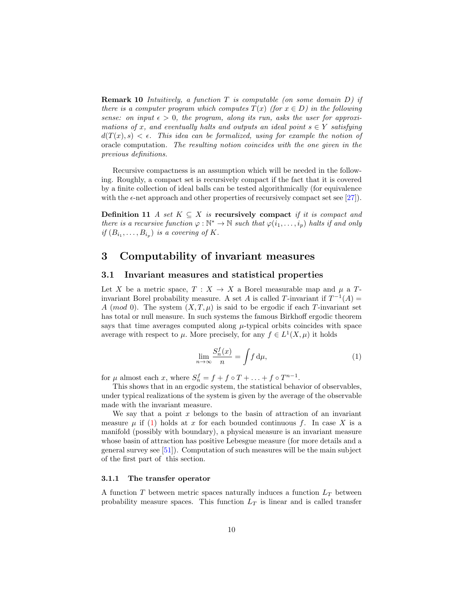**Remark 10** Intuitively, a function  $T$  is computable (on some domain  $D$ ) if there is a computer program which computes  $T(x)$  (for  $x \in D$ ) in the following sense: on input  $\epsilon > 0$ , the program, along its run, asks the user for approximations of x, and eventually halts and outputs an ideal point  $s \in Y$  satisfying  $d(T(x), s) < \epsilon$ . This idea can be formalized, using for example the notion of oracle computation. The resulting notion coincides with the one given in the previous definitions.

Recursive compactness is an assumption which will be needed in the following. Roughly, a compact set is recursively compact if the fact that it is covered by a finite collection of ideal balls can be tested algorithmically (for equivalence with the  $\epsilon$ -net approach and other properties of recursively compact set see [27].

**Definition 11** A set  $K \subseteq X$  is recursively compact if it is compact and there is a recursive function  $\varphi : \mathbb{N}^* \to \mathbb{N}$  such that  $\varphi(i_1, \ldots, i_p)$  halts if and only if  $(B_{i_1}, \ldots, B_{i_p})$  is a covering of K.

## 3 Computability of invariant measures

#### 3.1 Invariant measures and statistical properties

Let X be a metric space,  $T : X \to X$  a Borel measurable map and  $\mu$  a Tinvariant Borel probability measure. A set A is called T-invariant if  $T^{-1}(A)$  = A (mod 0). The system  $(X, T, \mu)$  is said to be ergodic if each T-invariant set has total or null measure. In such systems the famous Birkhoff ergodic theorem says that time averages computed along  $\mu$ -typical orbits coincides with space average with respect to  $\mu$ . More precisely, for any  $f \in L^1(X, \mu)$  it holds

$$
\lim_{n \to \infty} \frac{S_n^f(x)}{n} = \int f \, \mathrm{d}\mu,\tag{1}
$$

for  $\mu$  almost each  $x$ , where  $S_n^f = f + f \circ T + \ldots + f \circ T^{n-1}$ .

This shows that in an ergodic system, the statistical behavior of observables, under typical realizations of the system is given by the average of the observable made with the invariant measure.

We say that a point  $x$  belongs to the basin of attraction of an invariant measure  $\mu$  if (1) holds at x for each bounded continuous f. In case X is a manifold (possibly with boundary), a physical measure is an invariant measure whose basin of attraction has positive Lebesgue measure (for more details and a general survey see [51]). Computation of such measures will be the main subject of the first part of this section.

#### 3.1.1 The transfer operator

A function T between metric spaces naturally induces a function  $L_T$  between probability measure spaces. This function  $L_T$  is linear and is called transfer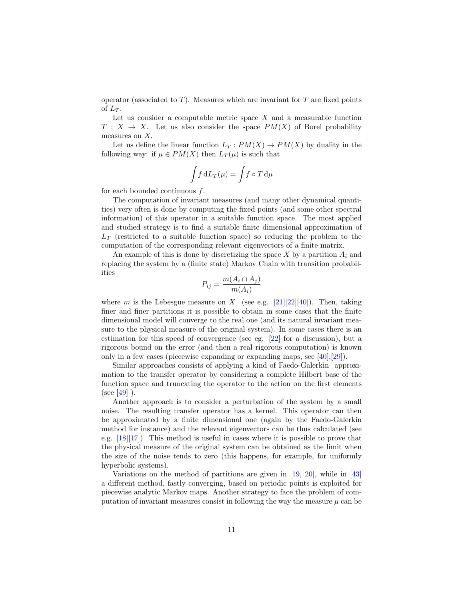operator (associated to  $T$ ). Measures which are invariant for  $T$  are fixed points of  $L_T$ .

Let us consider a computable metric space  $X$  and a measurable function  $T : X \to X$ . Let us also consider the space  $PM(X)$  of Borel probability measures on X.

Let us define the linear function  $L_T: PM(X) \to PM(X)$  by duality in the following way: if  $\mu \in PM(X)$  then  $L_T(\mu)$  is such that

$$
\int f \, \mathrm{d}L_T(\mu) = \int f \circ T \, \mathrm{d}\mu
$$

for each bounded continuous  $f$ .

The computation of invariant measures (and many other dynamical quantities) very often is done by computing the fixed points (and some other spectral information) of this operator in a suitable function space. The most applied and studied strategy is to find a suitable finite dimensional approximation of  $L_T$  (restricted to a suitable function space) so reducing the problem to the computation of the corresponding relevant eigenvectors of a finite matrix.

An example of this is done by discretizing the space  $X$  by a partition  $A_i$  and replacing the system by a (finite state) Markov Chain with transition probabilities

$$
P_{ij} = \frac{m(A_i \cap A_j)}{m(A_i)}
$$

where m is the Lebesgue measure on X (see e.g. [21][22][40]). Then, taking finer and finer partitions it is possible to obtain in some cases that the finite dimensional model will converge to the real one (and its natural invariant measure to the physical measure of the original system). In some cases there is an estimation for this speed of convergence (see eg. [22] for a discussion), but a rigorous bound on the error (and then a real rigorous computation) is known only in a few cases (piecewise expanding or expanding maps, see [40],[29]).

Similar approaches consists of applying a kind of Faedo-Galerkin approximation to the transfer operator by considering a complete Hilbert base of the function space and truncating the operator to the action on the first elements  $(see [49])$ .

Another approach is to consider a perturbation of the system by a small noise. The resulting transfer operator has a kernel. This operator can then be approximated by a finite dimensional one (again by the Faedo-Galerkin method for instance) and the relevant eigenvectors can be thus calculated (see e.g. [18][17]). This method is useful in cases where it is possible to prove that the physical measure of the original system can be obtained as the limit when the size of the noise tends to zero (this happens, for example, for uniformly hyperbolic systems).

Variations on the method of partitions are given in [19, 20], while in [43] a different method, fastly converging, based on periodic points is exploited for piecewise analytic Markov maps. Another strategy to face the problem of computation of invariant measures consist in following the way the measure  $\mu$  can be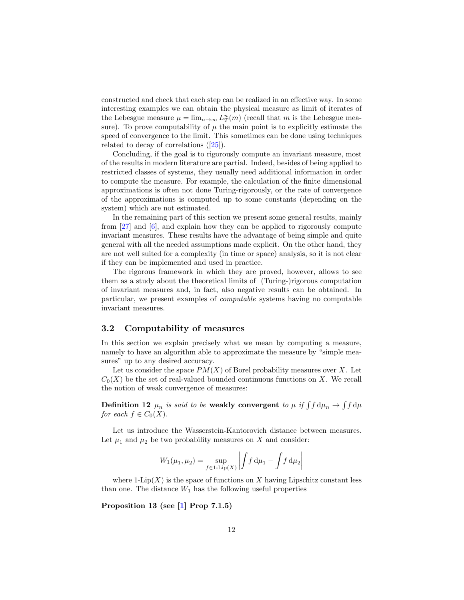constructed and check that each step can be realized in an effective way. In some interesting examples we can obtain the physical measure as limit of iterates of the Lebesgue measure  $\mu = \lim_{n \to \infty} L_T^n(m)$  (recall that m is the Lebesgue measure). To prove computability of  $\mu$  the main point is to explicitly estimate the speed of convergence to the limit. This sometimes can be done using techniques related to decay of correlations ([25]).

Concluding, if the goal is to rigorously compute an invariant measure, most of the results in modern literature are partial. Indeed, besides of being applied to restricted classes of systems, they usually need additional information in order to compute the measure. For example, the calculation of the finite dimensional approximations is often not done Turing-rigorously, or the rate of convergence of the approximations is computed up to some constants (depending on the system) which are not estimated.

In the remaining part of this section we present some general results, mainly from [27] and [6], and explain how they can be applied to rigorously compute invariant measures. These results have the advantage of being simple and quite general with all the needed assumptions made explicit. On the other hand, they are not well suited for a complexity (in time or space) analysis, so it is not clear if they can be implemented and used in practice.

The rigorous framework in which they are proved, however, allows to see them as a study about the theoretical limits of (Turing-)rigorous computation of invariant measures and, in fact, also negative results can be obtained. In particular, we present examples of computable systems having no computable invariant measures.

#### 3.2 Computability of measures

In this section we explain precisely what we mean by computing a measure, namely to have an algorithm able to approximate the measure by "simple measures" up to any desired accuracy.

Let us consider the space  $PM(X)$  of Borel probability measures over X. Let  $C_0(X)$  be the set of real-valued bounded continuous functions on X. We recall the notion of weak convergence of measures:

Definition 12  $\mu_n$  is said to be weakly convergent to  $\mu$  if  $\int f d\mu_n \to \int f d\mu$ for each  $f \in C_0(X)$ .

Let us introduce the Wasserstein-Kantorovich distance between measures. Let  $\mu_1$  and  $\mu_2$  be two probability measures on X and consider:

$$
W_1(\mu_1, \mu_2) = \sup_{f \in 1 - \text{Lip}(X)} \left| \int f d\mu_1 - \int f d\mu_2 \right|
$$

where  $1-\text{Lip}(X)$  is the space of functions on X having Lipschitz constant less than one. The distance  $W_1$  has the following useful properties

Proposition 13 (see [1] Prop 7.1.5)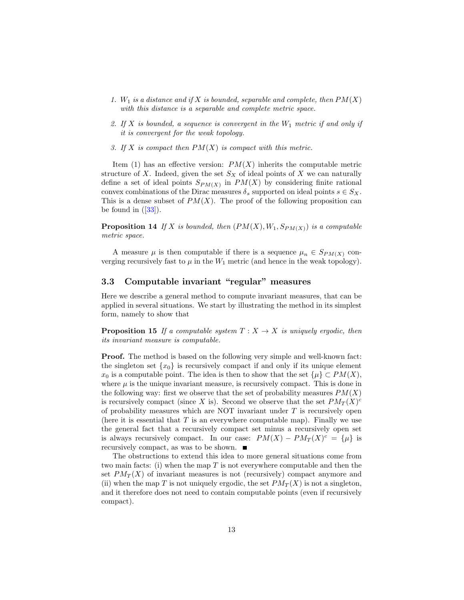- 1.  $W_1$  is a distance and if X is bounded, separable and complete, then  $PM(X)$ with this distance is a separable and complete metric space.
- 2. If X is bounded, a sequence is convergent in the  $W_1$  metric if and only if it is convergent for the weak topology.
- 3. If X is compact then  $PM(X)$  is compact with this metric.

Item (1) has an effective version:  $PM(X)$  inherits the computable metric structure of X. Indeed, given the set  $S_X$  of ideal points of X we can naturally define a set of ideal points  $S_{PM(X)}$  in  $PM(X)$  by considering finite rational convex combinations of the Dirac measures  $\delta_s$  supported on ideal points  $s \in S_X$ . This is a dense subset of  $PM(X)$ . The proof of the following proposition can be found in  $([33])$ .

**Proposition 14** If X is bounded, then  $(PM(X), W_1, S_{PM(X)})$  is a computable metric space.

A measure  $\mu$  is then computable if there is a sequence  $\mu_n \in S_{PM(X)}$  converging recursively fast to  $\mu$  in the  $W_1$  metric (and hence in the weak topology).

### 3.3 Computable invariant "regular" measures

Here we describe a general method to compute invariant measures, that can be applied in several situations. We start by illustrating the method in its simplest form, namely to show that

**Proposition 15** If a computable system  $T : X \to X$  is uniquely ergodic, then its invariant measure is computable.

Proof. The method is based on the following very simple and well-known fact: the singleton set  $\{x_0\}$  is recursively compact if and only if its unique element  $x_0$  is a computable point. The idea is then to show that the set  $\{\mu\} \subset PM(X)$ , where  $\mu$  is the unique invariant measure, is recursively compact. This is done in the following way: first we observe that the set of probability measures  $PM(X)$ is recursively compact (since X is). Second we observe that the set  $PM_T(X)^c$ of probability measures which are NOT invariant under  $T$  is recursively open (here it is essential that  $T$  is an everywhere computable map). Finally we use the general fact that a recursively compact set minus a recursively open set is always recursively compact. In our case:  $PM(X) - PM_T(X)^c = {\mu}$  is recursively compact, as was to be shown.

The obstructions to extend this idea to more general situations come from two main facts: (i) when the map  $T$  is not everywhere computable and then the set  $PM_T(X)$  of invariant measures is not (recursively) compact anymore and (ii) when the map T is not uniquely ergodic, the set  $PM_T(X)$  is not a singleton, and it therefore does not need to contain computable points (even if recursively compact).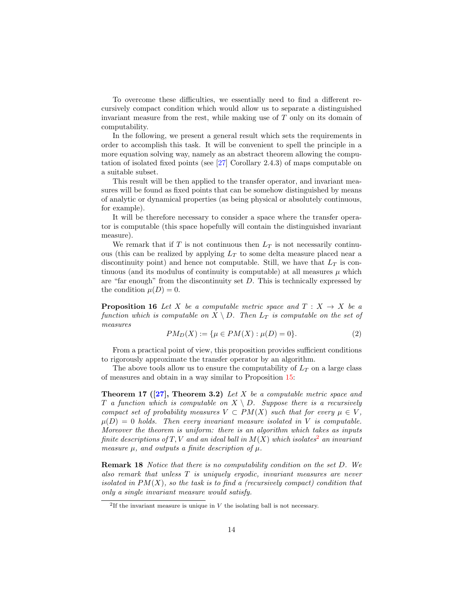To overcome these difficulties, we essentially need to find a different recursively compact condition which would allow us to separate a distinguished invariant measure from the rest, while making use of T only on its domain of computability.

In the following, we present a general result which sets the requirements in order to accomplish this task. It will be convenient to spell the principle in a more equation solving way, namely as an abstract theorem allowing the computation of isolated fixed points (see [27] Corollary 2.4.3) of maps computable on a suitable subset.

This result will be then applied to the transfer operator, and invariant measures will be found as fixed points that can be somehow distinguished by means of analytic or dynamical properties (as being physical or absolutely continuous, for example).

It will be therefore necessary to consider a space where the transfer operator is computable (this space hopefully will contain the distinguished invariant measure).

We remark that if T is not continuous then  $L_T$  is not necessarily continuous (this can be realized by applying  $L_T$  to some delta measure placed near a discontinuity point) and hence not computable. Still, we have that  $L_T$  is continuous (and its modulus of continuity is computable) at all measures  $\mu$  which are "far enough" from the discontinuity set  $D$ . This is technically expressed by the condition  $\mu(D) = 0$ .

**Proposition 16** Let X be a computable metric space and  $T : X \rightarrow X$  be a function which is computable on  $X \setminus D$ . Then  $L_T$  is computable on the set of measures

$$
PM_D(X) := \{ \mu \in PM(X) : \mu(D) = 0 \}.
$$
 (2)

From a practical point of view, this proposition provides sufficient conditions to rigorously approximate the transfer operator by an algorithm.

The above tools allow us to ensure the computability of  $L_T$  on a large class of measures and obtain in a way similar to Proposition 15:

**Theorem 17 ([27], Theorem 3.2)** Let X be a computable metric space and T a function which is computable on  $X \setminus D$ . Suppose there is a recursively compact set of probability measures  $V \subset PM(X)$  such that for every  $\mu \in V$ ,  $\mu(D) = 0$  holds. Then every invariant measure isolated in V is computable. Moreover the theorem is uniform: there is an algorithm which takes as inputs finite descriptions of T, V and an ideal ball in  $M(X)$  which isolates<sup>2</sup> an invariant measure  $\mu$ , and outputs a finite description of  $\mu$ .

**Remark 18** Notice that there is no computability condition on the set D. We also remark that unless T is uniquely ergodic, invariant measures are never isolated in  $PM(X)$ , so the task is to find a (recursively compact) condition that only a single invariant measure would satisfy.

<sup>&</sup>lt;sup>2</sup>If the invariant measure is unique in  $V$  the isolating ball is not necessary.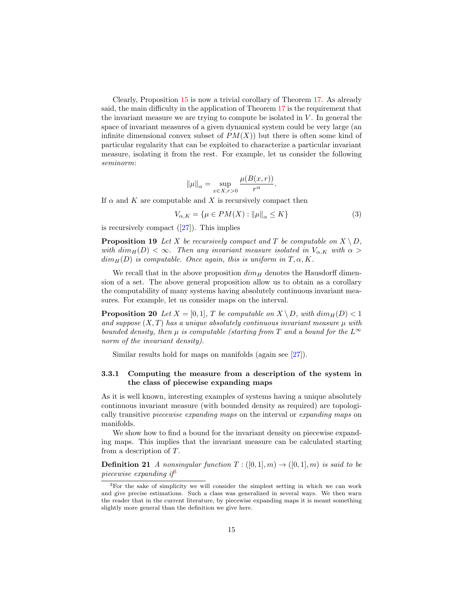Clearly, Proposition 15 is now a trivial corollary of Theorem 17. As already said, the main difficulty in the application of Theorem 17 is the requirement that the invariant measure we are trying to compute be isolated in  $V$ . In general the space of invariant measures of a given dynamical system could be very large (an infinite dimensional convex subset of  $PM(X)$  but there is often some kind of particular regularity that can be exploited to characterize a particular invariant measure, isolating it from the rest. For example, let us consider the following seminorm:

$$
\|\mu\|_{\alpha} = \sup_{x \in X, r > 0} \frac{\mu(B(x, r))}{r^{\alpha}}.
$$

If  $\alpha$  and K are computable and X is recursively compact then

$$
V_{\alpha,K} = \{ \mu \in PM(X) : ||\mu||_{\alpha} \le K \}
$$
\n
$$
(3)
$$

is recursively compact  $([27])$ . This implies

**Proposition 19** Let X be recursively compact and T be computable on  $X \setminus D$ , with  $\dim_H(D) < \infty$ . Then any invariant measure isolated in  $V_{\alpha,K}$  with  $\alpha >$  $dim_H(D)$  is computable. Once again, this is uniform in  $T, \alpha, K$ .

We recall that in the above proposition  $dim_H$  denotes the Hausdorff dimension of a set. The above general proposition allow us to obtain as a corollary the computability of many systems having absolutely continuous invariant measures. For example, let us consider maps on the interval.

**Proposition 20** Let  $X = [0, 1]$ , T be computable on  $X \setminus D$ , with  $\dim_H(D) < 1$ and suppose  $(X, T)$  has a unique absolutely continuous invariant measure  $\mu$  with bounded density, then  $\mu$  is computable (starting from T and a bound for the  $L^{\infty}$ norm of the invariant density).

Similar results hold for maps on manifolds (again see [27]).

#### 3.3.1 Computing the measure from a description of the system in the class of piecewise expanding maps

As it is well known, interesting examples of systems having a unique absolutely continuous invariant measure (with bounded density as required) are topologically transitive piecewise expanding maps on the interval or expanding maps on manifolds.

We show how to find a bound for the invariant density on piecewise expanding maps. This implies that the invariant measure can be calculated starting from a description of T.

**Definition 21** A nonsingular function  $T : ([0,1], m) \rightarrow ([0,1], m)$  is said to be piecewise expanding  $i^{\beta}$ 

<sup>3</sup>For the sake of simplicity we will consider the simplest setting in which we can work and give precise estimations. Such a class was generalized in several ways. We then warn the reader that in the current literature, by piecewise expanding maps it is meant something slightly more general than the definition we give here.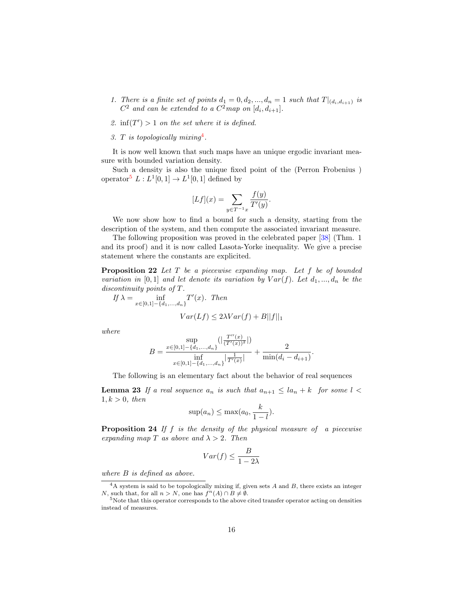- 1. There is a finite set of points  $d_1 = 0, d_2, ..., d_n = 1$  such that  $T|_{(d_i, d_{i+1})}$  is  $C^2$  and can be extended to a  $C^2$  map on  $[d_i, d_{i+1}].$
- 2. inf( $T'$ ) > 1 on the set where it is defined.
- 3. T is topologically mixing<sup>4</sup>.

It is now well known that such maps have an unique ergodic invariant measure with bounded variation density.

Such a density is also the unique fixed point of the (Perron Frobenius ) operator<sup>5</sup>  $L: L^1[0,1] \to L^1[0,1]$  defined by

$$
[Lf](x) = \sum_{y \in T^{-1}x} \frac{f(y)}{T'(y)}
$$

.

We now show how to find a bound for such a density, starting from the description of the system, and then compute the associated invariant measure.

The following proposition was proved in the celebrated paper [38] (Thm. 1 and its proof) and it is now called Lasota-Yorke inequality. We give a precise statement where the constants are explicited.

**Proposition 22** Let  $T$  be a piecewise expanding map. Let  $f$  be of bounded variation in [0,1] and let denote its variation by  $Var(f)$ . Let  $d_1, ..., d_n$  be the discontinuity points of T.

$$
If \lambda = \inf_{x \in [0,1] - \{d_1, \dots, d_n\}} T'(x). \quad Then
$$

$$
Var(Lf) \le 2\lambda Var(f) + B||f||_1
$$

where

$$
B = \frac{\sup}{\frac{x \in [0,1] - \{d_1,\dots,d_n\}}{ \inf} \left( \left| \frac{T''(x)}{(T'(x))^2} \right| \right)}{\inf \limits_{x \in [0,1] - \{d_1,\dots,d_n\}} \left| \frac{1}{T'(x)} \right|} + \frac{2}{\min(d_i - d_{i+1})}.
$$

The following is an elementary fact about the behavior of real sequences

**Lemma 23** If a real sequence  $a_n$  is such that  $a_{n+1} \leq la_n + k$  for some  $l <$  $1, k > 0$ , then

$$
\sup(a_n) \le \max(a_0, \frac{k}{1-l}).
$$

**Proposition 24** If  $f$  is the density of the physical measure of a piecewise expanding map T as above and  $\lambda > 2$ . Then

$$
Var(f) \le \frac{B}{1 - 2\lambda}
$$

where B is defined as above.

 $4A$  system is said to be topologically mixing if, given sets A and B, there exists an integer N, such that, for all  $n > N$ , one has  $f^{n}(A) \cap B \neq \emptyset$ .

 $5$ Note that this operator corresponds to the above cited transfer operator acting on densities instead of measures.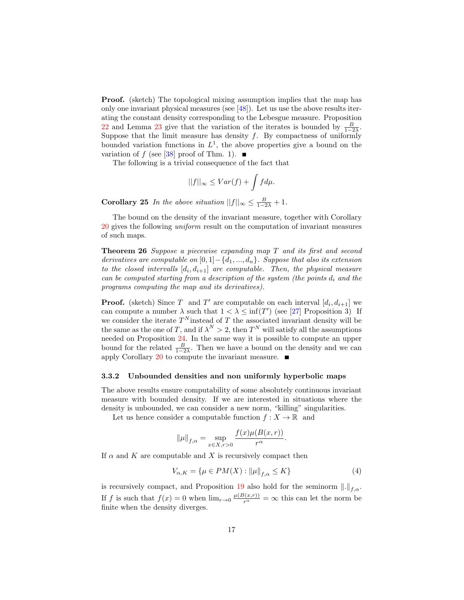Proof. (sketch) The topological mixing assumption implies that the map has only one invariant physical measures (see  $[48]$ ). Let us use the above results iterating the constant density corresponding to the Lebesgue measure. Proposition 22 and Lemma 23 give that the variation of the iterates is bounded by  $\frac{B}{1-2\lambda}$ . Suppose that the limit measure has density  $f$ . By compactness of uniformly bounded variation functions in  $L^1$ , the above properties give a bound on the variation of f (see [38] proof of Thm. 1).  $\blacksquare$ 

The following is a trivial consequence of the fact that

$$
||f||_{\infty} \le Var(f) + \int f d\mu.
$$

**Corollary 25** In the above situation  $||f||_{\infty} \leq \frac{B}{1-2\lambda} + 1$ .

The bound on the density of the invariant measure, together with Corollary 20 gives the following uniform result on the computation of invariant measures of such maps.

Theorem 26 Suppose a piecewise expanding map T and its first and second derivatives are computable on  $[0, 1] - \{d_1, ..., d_n\}$ . Suppose that also its extension to the closed intervalls  $[d_i, d_{i+1}]$  are computable. Then, the physical measure can be computed starting from a description of the system (the points  $d_i$  and the programs computing the map and its derivatives).

**Proof.** (sketch) Since T and T' are computable on each interval  $[d_i, d_{i+1}]$  we can compute a number  $\lambda$  such that  $1 < \lambda \leq \inf(T')$  (see [27] Proposition 3) If we consider the iterate  $T<sup>N</sup>$  instead of T the associated invariant density will be the same as the one of T, and if  $\lambda^N > 2$ , then  $T^N$  will satisfy all the assumptions needed on Proposition 24. In the same way it is possible to compute an upper bound for the related  $\frac{B}{1-2\lambda}$ . Then we have a bound on the density and we can apply Corollary 20 to compute the invariant measure.  $\blacksquare$ 

#### 3.3.2 Unbounded densities and non uniformly hyperbolic maps

The above results ensure computability of some absolutely continuous invariant measure with bounded density. If we are interested in situations where the density is unbounded, we can consider a new norm, "killing" singularities.

Let us hence consider a computable function  $f: X \to \mathbb{R}$  and

$$
\|\mu\|_{f,\alpha} = \sup_{x \in X, r>0} \frac{f(x)\mu(B(x,r))}{r^{\alpha}}.
$$

If  $\alpha$  and K are computable and X is recursively compact then

$$
V_{\alpha,K} = \{ \mu \in PM(X) : ||\mu||_{f,\alpha} \le K \}
$$
 (4)

is recursively compact, and Proposition 19 also hold for the seminorm  $\|.\|_{f,\alpha}$ . If f is such that  $f(x) = 0$  when  $\lim_{x\to 0} \frac{\mu(B(x,r))}{r^{\alpha}} = \infty$  this can let the norm be finite when the density diverges.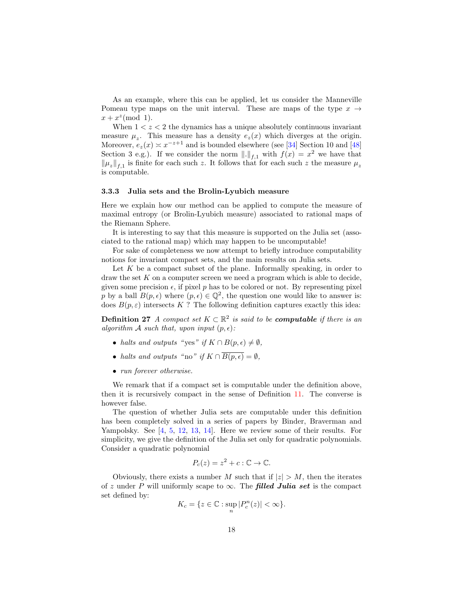As an example, where this can be applied, let us consider the Manneville Pomeau type maps on the unit interval. These are maps of the type  $x \rightarrow$  $x + x^z \pmod{1}$ .

When  $1 < z < 2$  the dynamics has a unique absolutely continuous invariant measure  $\mu_z$ . This measure has a density  $e_z(x)$  which diverges at the origin. Moreover,  $e_z(x) \approx x^{-z+1}$  and is bounded elsewhere (see [34] Section 10 and [48] Section 3 e.g.). If we consider the norm  $\|.\|_{f,1}$  with  $f(x) = x^2$  we have that  $\|\mu_z\|_{f,1}$  is finite for each such z. It follows that for each such z the measure  $\mu_z$ is computable.

#### 3.3.3 Julia sets and the Brolin-Lyubich measure

Here we explain how our method can be applied to compute the measure of maximal entropy (or Brolin-Lyubich measure) associated to rational maps of the Riemann Sphere.

It is interesting to say that this measure is supported on the Julia set (associated to the rational map) which may happen to be uncomputable!

For sake of completeness we now attempt to briefly introduce computability notions for invariant compact sets, and the main results on Julia sets.

Let  $K$  be a compact subset of the plane. Informally speaking, in order to draw the set  $K$  on a computer screen we need a program which is able to decide, given some precision  $\epsilon$ , if pixel p has to be colored or not. By representing pixel p by a ball  $B(p, \epsilon)$  where  $(p, \epsilon) \in \mathbb{Q}^2$ , the question one would like to answer is: does  $B(p, \varepsilon)$  intersects K ? The following definition captures exactly this idea:

**Definition 27** A compact set  $K \subset \mathbb{R}^2$  is said to be **computable** if there is an algorithm A such that, upon input  $(p, \epsilon)$ :

- halts and outputs "yes" if  $K \cap B(p, \epsilon) \neq \emptyset$ ,
- halts and outputs "no" if  $K \cap \overline{B(p,\epsilon)} = \emptyset$ ,
- run forever otherwise.

We remark that if a compact set is computable under the definition above, then it is recursively compact in the sense of Definition 11. The converse is however false.

The question of whether Julia sets are computable under this definition has been completely solved in a series of papers by Binder, Braverman and Yampolsky. See [4, 5, 12, 13, 14]. Here we review some of their results. For simplicity, we give the definition of the Julia set only for quadratic polynomials. Consider a quadratic polynomial

$$
P_c(z) = z^2 + c : \mathbb{C} \to \mathbb{C}.
$$

Obviously, there exists a number M such that if  $|z| > M$ , then the iterates of z under P will uniformly scape to  $\infty$ . The **filled Julia set** is the compact set defined by:

$$
K_c = \{ z \in \mathbb{C} : \sup_n |P_c^n(z)| < \infty \}.
$$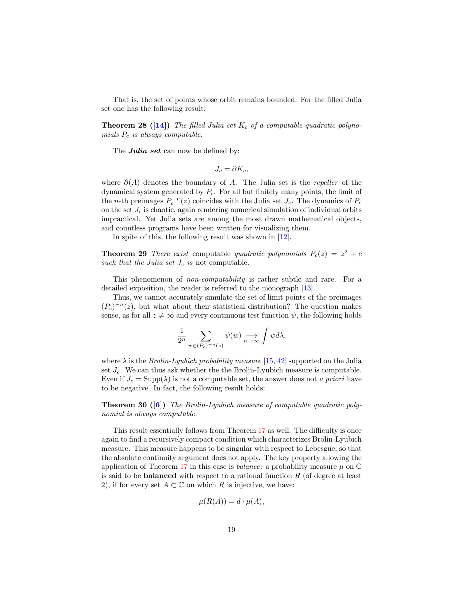That is, the set of points whose orbit remains bounded. For the filled Julia set one has the following result:

**Theorem 28 ([14])** The filled Julia set  $K_c$  of a computable quadratic polynomials  $P_c$  is always computable.

The **Julia set** can now be defined by:

$$
J_c = \partial K_c,
$$

where  $\partial(A)$  denotes the boundary of A. The Julia set is the *repeller* of the dynamical system generated by  $P_c$ . For all but finitely many points, the limit of the *n*-th preimages  $P_c^{-n}(z)$  coincides with the Julia set  $J_c$ . The dynamics of  $P_c$ on the set  $J_c$  is chaotic, again rendering numerical simulation of individual orbits impractical. Yet Julia sets are among the most drawn mathematical objects, and countless programs have been written for visualizing them.

In spite of this, the following result was shown in [12].

**Theorem 29** There exist computable quadratic polynomials  $P_c(z) = z^2 + c$ such that the Julia set  $J_c$  is not computable.

This phenomenon of *non-computability* is rather subtle and rare. For a detailed exposition, the reader is referred to the monograph [13].

Thus, we cannot accurately simulate the set of limit points of the preimages  $(P_c)^{-n}(z)$ , but what about their statistical distribution? The question makes sense, as for all  $z \neq \infty$  and every continuous test function  $\psi$ , the following holds

$$
\frac{1}{2^n}\sum_{w\in (P_c)^{-n}(z)}\psi(w)\underset{n\to\infty}{\longrightarrow}\int\psi d\lambda,
$$

where  $\lambda$  is the *Brolin-Lyubich probability measure* [15, 42] supported on the Julia set  $J_c$ . We can thus ask whether the the Brolin-Lyubich measure is computable. Even if  $J_c = \text{Supp}(\lambda)$  is not a computable set, the answer does not a priori have to be negative. In fact, the following result holds:

**Theorem 30 ([6])** The Brolin-Lyubich measure of computable quadratic polynomial is always computable.

This result essentially follows from Theorem 17 as well. The difficulty is once again to find a recursively compact condition which characterizes Brolin-Lyubich measure. This measure happens to be singular with respect to Lebesgue, so that the absolute continuity argument does not apply. The key property allowing the application of Theorem 17 in this case is *balance*: a probability measure  $\mu$  on  $\mathbb{C}$ is said to be **balanced** with respect to a rational function  $R$  (of degree at least 2), if for every set  $A \subset \mathbb{C}$  on which R is injective, we have:

$$
u(R(A)) = d \cdot \mu(A),
$$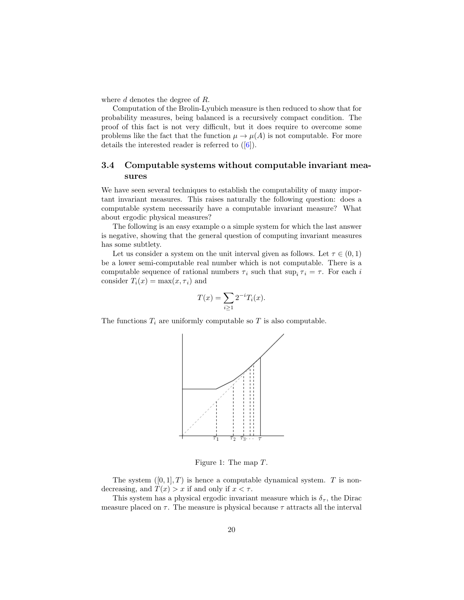where d denotes the degree of R.

Computation of the Brolin-Lyubich measure is then reduced to show that for probability measures, being balanced is a recursively compact condition. The proof of this fact is not very difficult, but it does require to overcome some problems like the fact that the function  $\mu \to \mu(A)$  is not computable. For more details the interested reader is referred to  $([6])$ .

### 3.4 Computable systems without computable invariant measures

We have seen several techniques to establish the computability of many important invariant measures. This raises naturally the following question: does a computable system necessarily have a computable invariant measure? What about ergodic physical measures?

The following is an easy example o a simple system for which the last answer is negative, showing that the general question of computing invariant measures has some subtlety.

Let us consider a system on the unit interval given as follows. Let  $\tau \in (0,1)$ be a lower semi-computable real number which is not computable. There is a computable sequence of rational numbers  $\tau_i$  such that  $\sup_i \tau_i = \tau$ . For each i consider  $T_i(x) = \max(x, \tau_i)$  and

$$
T(x) = \sum_{i \ge 1} 2^{-i} T_i(x).
$$

The functions  $T_i$  are uniformly computable so T is also computable.



Figure 1: The map T.

The system  $([0, 1], T)$  is hence a computable dynamical system. T is nondecreasing, and  $T(x) > x$  if and only if  $x < \tau$ .

This system has a physical ergodic invariant measure which is  $\delta_{\tau}$ , the Dirac measure placed on  $\tau$ . The measure is physical because  $\tau$  attracts all the interval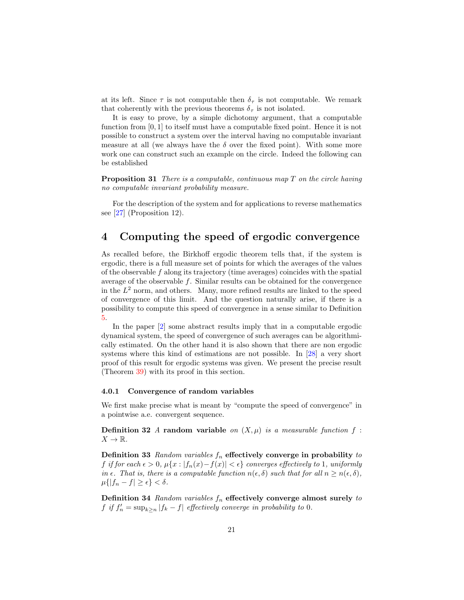at its left. Since  $\tau$  is not computable then  $\delta_{\tau}$  is not computable. We remark that coherently with the previous theorems  $\delta_{\tau}$  is not isolated.

It is easy to prove, by a simple dichotomy argument, that a computable function from [0, 1] to itself must have a computable fixed point. Hence it is not possible to construct a system over the interval having no computable invariant measure at all (we always have the  $\delta$  over the fixed point). With some more work one can construct such an example on the circle. Indeed the following can be established

**Proposition 31** There is a computable, continuous map  $T$  on the circle having no computable invariant probability measure.

For the description of the system and for applications to reverse mathematics see [27] (Proposition 12).

# 4 Computing the speed of ergodic convergence

As recalled before, the Birkhoff ergodic theorem tells that, if the system is ergodic, there is a full measure set of points for which the averages of the values of the observable  $f$  along its trajectory (time averages) coincides with the spatial average of the observable f. Similar results can be obtained for the convergence in the  $L^2$  norm, and others. Many, more refined results are linked to the speed of convergence of this limit. And the question naturally arise, if there is a possibility to compute this speed of convergence in a sense similar to Definition 5.

In the paper [2] some abstract results imply that in a computable ergodic dynamical system, the speed of convergence of such averages can be algorithmically estimated. On the other hand it is also shown that there are non ergodic systems where this kind of estimations are not possible. In [28] a very short proof of this result for ergodic systems was given. We present the precise result (Theorem 39) with its proof in this section.

#### 4.0.1 Convergence of random variables

We first make precise what is meant by "compute the speed of convergence" in a pointwise a.e. convergent sequence.

**Definition 32** A random variable on  $(X, \mu)$  is a measurable function f:  $X \to \mathbb{R}$ .

Definition 33 Random variables  $f_n$  effectively converge in probability to f if for each  $\epsilon > 0$ ,  $\mu\{x : |f_n(x) - f(x)| < \epsilon\}$  converges effectively to 1, uniformly in  $\epsilon$ . That is, there is a computable function  $n(\epsilon, \delta)$  such that for all  $n \geq n(\epsilon, \delta)$ ,  $\mu\{|f_n-f|\geq\epsilon\}<\delta.$ 

Definition 34 Random variables  $f_n$  effectively converge almost surely to f if  $f'_n = \sup_{k \geq n} |f_k - f|$  effectively converge in probability to 0.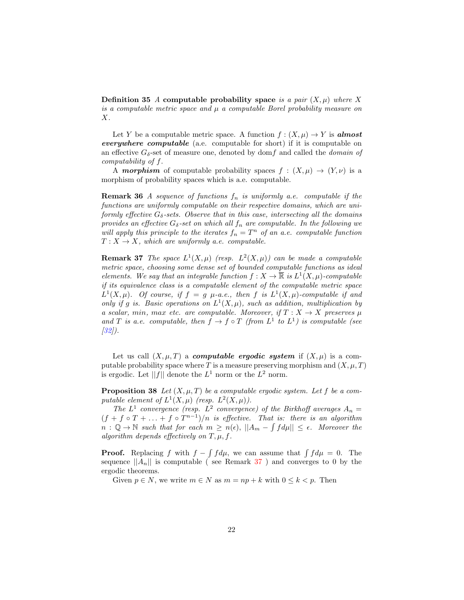Definition 35 A computable probability space is a pair  $(X, \mu)$  where X is a computable metric space and  $\mu$  a computable Borel probability measure on X.

Let Y be a computable metric space. A function  $f : (X, \mu) \to Y$  is **almost** everywhere computable (a.e. computable for short) if it is computable on an effective  $G_{\delta}$ -set of measure one, denoted by domf and called the *domain of* computability of f.

A morphism of computable probability spaces  $f : (X, \mu) \to (Y, \nu)$  is a morphism of probability spaces which is a.e. computable.

**Remark 36** A sequence of functions  $f_n$  is uniformly a.e. computable if the functions are uniformly computable on their respective domains, which are uniformly effective  $G_{\delta}$ -sets. Observe that in this case, intersecting all the domains provides an effective  $G_{\delta}$ -set on which all  $f_n$  are computable. In the following we will apply this principle to the iterates  $f_n = T^n$  of an a.e. computable function  $T: X \to X$ , which are uniformly a.e. computable.

**Remark 37** The space  $L^1(X,\mu)$  (resp.  $L^2(X,\mu)$ ) can be made a computable metric space, choosing some dense set of bounded computable functions as ideal elements. We say that an integrable function  $f: X \to \overline{\mathbb{R}}$  is  $L^1(X, \mu)$ -computable if its equivalence class is a computable element of the computable metric space  $L^1(X,\mu)$ . Of course, if  $f = g$   $\mu$ -a.e., then f is  $L^1(X,\mu)$ -computable if and only if g is. Basic operations on  $L^1(X,\mu)$ , such as addition, multiplication by a scalar, min, max etc. are computable. Moreover, if  $T : X \to X$  preserves  $\mu$ and T is a.e. computable, then  $f \to f \circ T$  (from  $L^1$  to  $L^1$ ) is computable (see  $[32]$ .

Let us call  $(X, \mu, T)$  a **computable ergodic system** if  $(X, \mu)$  is a computable probability space where T is a measure preserving morphism and  $(X, \mu, T)$ is ergodic. Let  $||f||$  denote the  $L^1$  norm or the  $L^2$  norm.

**Proposition 38** Let  $(X, \mu, T)$  be a computable ergodic system. Let f be a computable element of  $L^1(X,\mu)$  (resp.  $L^2(X,\mu)$ ).

The  $L^1$  convergence (resp.  $L^2$  convergence) of the Birkhoff averages  $A_n =$  $(f + f \circ T + ... + f \circ T^{n-1})/n$  is effective. That is: there is an algorithm  $m: \mathbb{Q} \to \mathbb{N}$  such that for each  $m \geq n(\epsilon)$ ,  $||A_m - \int f d\mu|| \leq \epsilon$ . Moreover the algorithm depends effectively on  $T, \mu, f$ .

**Proof.** Replacing f with  $f - \int f d\mu$ , we can assume that  $\int f d\mu = 0$ . The sequence  $||A_n||$  is computable ( see Remark 37) and converges to 0 by the ergodic theorems.

Given  $p \in N$ , we write  $m \in N$  as  $m = np + k$  with  $0 \leq k \leq p$ . Then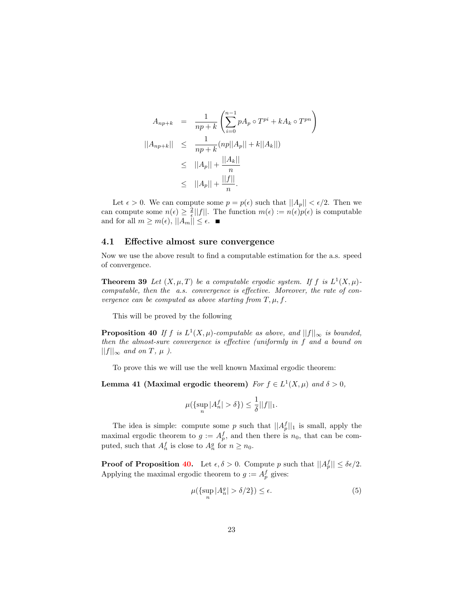$$
A_{np+k} = \frac{1}{np+k} \left( \sum_{i=0}^{n-1} p A_p \circ T^{pi} + k A_k \circ T^{pn} \right)
$$
  

$$
||A_{np+k}|| \leq \frac{1}{np+k} (np||A_p|| + k||A_k||)
$$
  

$$
\leq ||A_p|| + \frac{||A_k||}{n}
$$
  

$$
\leq ||A_p|| + \frac{||f||}{n}.
$$

Let  $\epsilon > 0$ . We can compute some  $p = p(\epsilon)$  such that  $||A_p|| < \epsilon/2$ . Then we can compute some  $n(\epsilon) \geq \frac{2}{\epsilon} ||f||$ . The function  $m(\epsilon) := n(\epsilon)p(\epsilon)$  is computable and for all  $m \geq m(\epsilon)$ ,  $||A_m|| \leq \epsilon$ .

#### 4.1 Effective almost sure convergence

Now we use the above result to find a computable estimation for the a.s. speed of convergence.

**Theorem 39** Let  $(X, \mu, T)$  be a computable ergodic system. If f is  $L^1(X, \mu)$ computable, then the a.s. convergence is effective. Moreover, the rate of convergence can be computed as above starting from  $T, \mu, f$ .

This will be proved by the following

**Proposition 40** If f is  $L^1(X,\mu)$ -computable as above, and  $||f||_{\infty}$  is bounded, then the almost-sure convergence is effective (uniformly in f and a bound on  $||f||_{\infty}$  and on  $T, \mu$  ).

To prove this we will use the well known Maximal ergodic theorem:

Lemma 41 (Maximal ergodic theorem) For  $f \in L^1(X,\mu)$  and  $\delta > 0$ ,

$$
\mu(\{\sup_n |A_n^f| > \delta\}) \le \frac{1}{\delta} ||f||_1.
$$

The idea is simple: compute some p such that  $||A_p^f||_1$  is small, apply the maximal ergodic theorem to  $g := A_p^f$ , and then there is  $n_0$ , that can be computed, such that  $A_n^f$  is close to  $A_n^g$  for  $n \geq n_0$ .

**Proof of Proposition 40.** Let  $\epsilon, \delta > 0$ . Compute p such that  $||A_p^f|| \leq \delta \epsilon/2$ . Applying the maximal ergodic theorem to  $g := A_p^f$  gives:

$$
\mu(\{\sup_n |A_n^g| > \delta/2\}) \le \epsilon. \tag{5}
$$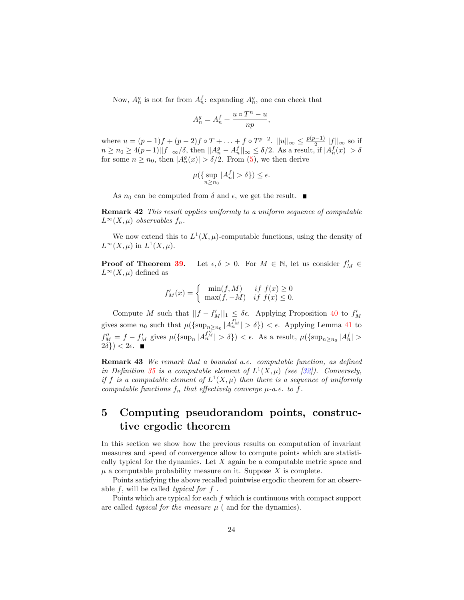Now,  $A_n^g$  is not far from  $A_n^f$ : expanding  $A_n^g$ , one can check that

$$
A_n^g = A_n^f + \frac{u \circ T^n - u}{np},
$$

where  $u = (p-1)f + (p-2)f \circ T + ... + f \circ T^{p-2}$ .  $||u||_{\infty} \leq \frac{p(p-1)}{2}$  $\frac{2^{n-1}}{2}$ ||f||<sub>∞</sub> so if  $n \geq n_0 \geq 4(p-1) ||f||_{\infty}/\delta$ , then  $||A_n^g - A_n^f||_{\infty} \leq \delta/2$ . As a result, if  $|A_n^f(x)| > \delta$ for some  $n \ge n_0$ , then  $|A_n^g(x)| > \delta/2$ . From (5), we then derive

$$
\mu(\{\sup_{n\geq n_0} |A_n^f| > \delta\}) \leq \epsilon.
$$

As  $n_0$  can be computed from  $\delta$  and  $\epsilon$ , we get the result.  $\blacksquare$ 

Remark 42 This result applies uniformly to a uniform sequence of computable  $L^{\infty}(X,\mu)$  observables  $f_n$ .

We now extend this to  $L^1(X,\mu)$ -computable functions, using the density of  $L^{\infty}(X,\mu)$  in  $L^1(X,\mu)$ .

**Proof of Theorem 39.** Let  $\epsilon, \delta > 0$ . For  $M \in \mathbb{N}$ , let us consider  $f'_M \in$  $L^{\infty}(X,\mu)$  defined as

$$
f'_{M}(x) = \begin{cases} \min(f, M) & \text{if } f(x) \ge 0\\ \max(f, -M) & \text{if } f(x) \le 0. \end{cases}
$$

Compute M such that  $||f - f'_M||_1 \leq \delta \epsilon$ . Applying Proposition 40 to  $f'_M$ gives some  $n_0$  such that  $\mu({\{\sup_{n \ge n_0} |A_n^{f_M'}| > \delta\}}) < \epsilon$ . Applying Lemma 41 to  $f''_M = f - f'_M$  gives  $\mu({\{\sup_n |A_n^{f''_M}| > \delta\}}) < \epsilon$ . As a result,  $\mu({\{\sup_{n \ge n_0} |A_n^f| > \delta\}})$  $2\delta$ }) < 2 $\epsilon$ .

Remark 43 We remark that a bounded a.e. computable function, as defined in Definition 35 is a computable element of  $L^1(X,\mu)$  (see [32]). Conversely, if f is a computable element of  $L^1(X,\mu)$  then there is a sequence of uniformly computable functions  $f_n$  that effectively converge  $\mu$ -a.e. to f.

# 5 Computing pseudorandom points, constructive ergodic theorem

In this section we show how the previous results on computation of invariant measures and speed of convergence allow to compute points which are statistically typical for the dynamics. Let X again be a computable metric space and  $\mu$  a computable probability measure on it. Suppose X is complete.

Points satisfying the above recalled pointwise ergodic theorem for an observable f, will be called *typical for* f.

Points which are typical for each f which is continuous with compact support are called *typical for the measure*  $\mu$  ( and for the dynamics).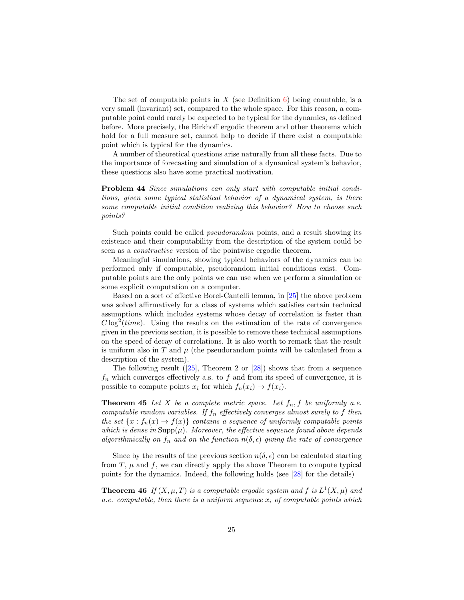The set of computable points in X (see Definition  $6$ ) being countable, is a very small (invariant) set, compared to the whole space. For this reason, a computable point could rarely be expected to be typical for the dynamics, as defined before. More precisely, the Birkhoff ergodic theorem and other theorems which hold for a full measure set, cannot help to decide if there exist a computable point which is typical for the dynamics.

A number of theoretical questions arise naturally from all these facts. Due to the importance of forecasting and simulation of a dynamical system's behavior, these questions also have some practical motivation.

Problem 44 Since simulations can only start with computable initial conditions, given some typical statistical behavior of a dynamical system, is there some computable initial condition realizing this behavior? How to choose such points?

Such points could be called pseudorandom points, and a result showing its existence and their computability from the description of the system could be seen as a constructive version of the pointwise ergodic theorem.

Meaningful simulations, showing typical behaviors of the dynamics can be performed only if computable, pseudorandom initial conditions exist. Computable points are the only points we can use when we perform a simulation or some explicit computation on a computer.

Based on a sort of effective Borel-Cantelli lemma, in [25] the above problem was solved affirmatively for a class of systems which satisfies certain technical assumptions which includes systems whose decay of correlation is faster than  $C \log^2 (time)$ . Using the results on the estimation of the rate of convergence given in the previous section, it is possible to remove these technical assumptions on the speed of decay of correlations. It is also worth to remark that the result is uniform also in  $T$  and  $\mu$  (the pseudorandom points will be calculated from a description of the system).

The following result  $([25],$  Theorem 2 or  $[28]$ ) shows that from a sequence  $f_n$  which converges effectively a.s. to f and from its speed of convergence, it is possible to compute points  $x_i$  for which  $f_n(x_i) \to f(x_i)$ .

**Theorem 45** Let X be a complete metric space. Let  $f_n, f$  be uniformly a.e. computable random variables. If  $f_n$  effectively converges almost surely to f then the set  $\{x: f_n(x) \to f(x)\}$  contains a sequence of uniformly computable points which is dense in  $\text{Supp}(\mu)$ . Moreover, the effective sequence found above depends algorithmically on  $f_n$  and on the function  $n(\delta, \epsilon)$  giving the rate of convergence

Since by the results of the previous section  $n(\delta, \epsilon)$  can be calculated starting from  $T$ ,  $\mu$  and  $f$ , we can directly apply the above Theorem to compute typical points for the dynamics. Indeed, the following holds (see [28] for the details)

**Theorem 46** If  $(X, \mu, T)$  is a computable ergodic system and f is  $L^1(X, \mu)$  and a.e. computable, then there is a uniform sequence  $x_i$  of computable points which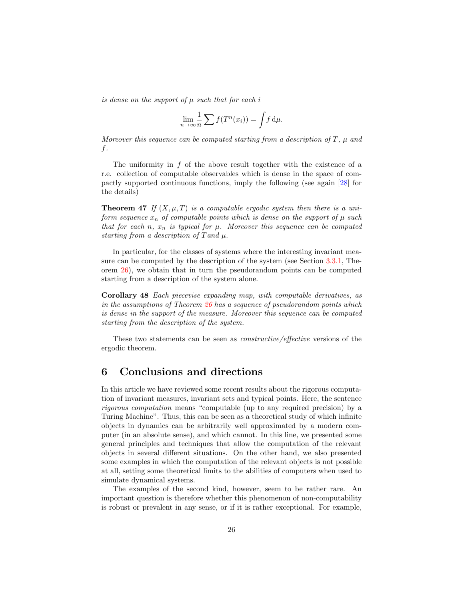is dense on the support of  $\mu$  such that for each i

$$
\lim_{n \to \infty} \frac{1}{n} \sum f(T^n(x_i)) = \int f d\mu.
$$

Moreover this sequence can be computed starting from a description of  $T$ ,  $\mu$  and f.

The uniformity in f of the above result together with the existence of a r.e. collection of computable observables which is dense in the space of compactly supported continuous functions, imply the following (see again [28] for the details)

**Theorem 47** If  $(X, \mu, T)$  is a computable ergodic system then there is a uniform sequence  $x_n$  of computable points which is dense on the support of  $\mu$  such that for each n,  $x_n$  is typical for  $\mu$ . Moreover this sequence can be computed starting from a description of Tand µ.

In particular, for the classes of systems where the interesting invariant measure can be computed by the description of the system (see Section 3.3.1, Theorem 26), we obtain that in turn the pseudorandom points can be computed starting from a description of the system alone.

Corollary 48 Each piecevise expanding map, with computable derivatives, as in the assumptions of Theorem  $26$  has a sequence of pseudorandom points which is dense in the support of the measure. Moreover this sequence can be computed starting from the description of the system.

These two statements can be seen as constructive/effective versions of the ergodic theorem.

# 6 Conclusions and directions

In this article we have reviewed some recent results about the rigorous computation of invariant measures, invariant sets and typical points. Here, the sentence rigorous computation means "computable (up to any required precision) by a Turing Machine". Thus, this can be seen as a theoretical study of which infinite objects in dynamics can be arbitrarily well approximated by a modern computer (in an absolute sense), and which cannot. In this line, we presented some general principles and techniques that allow the computation of the relevant objects in several different situations. On the other hand, we also presented some examples in which the computation of the relevant objects is not possible at all, setting some theoretical limits to the abilities of computers when used to simulate dynamical systems.

The examples of the second kind, however, seem to be rather rare. An important question is therefore whether this phenomenon of non-computability is robust or prevalent in any sense, or if it is rather exceptional. For example,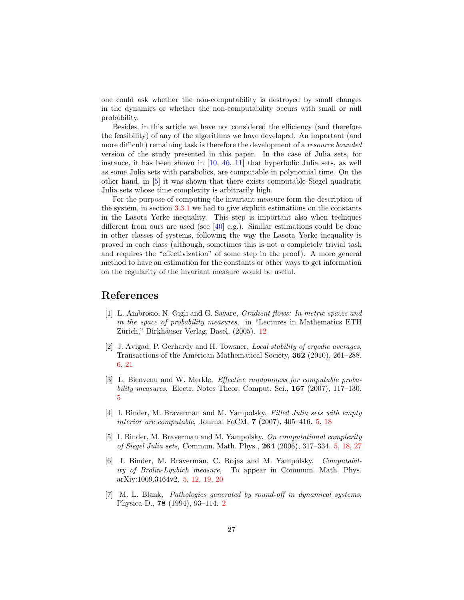one could ask whether the non-computability is destroyed by small changes in the dynamics or whether the non-computability occurs with small or null probability.

Besides, in this article we have not considered the efficiency (and therefore the feasibility) of any of the algorithms we have developed. An important (and more difficult) remaining task is therefore the development of a *resource bounded* version of the study presented in this paper. In the case of Julia sets, for instance, it has been shown in [10, 46, 11] that hyperbolic Julia sets, as well as some Julia sets with parabolics, are computable in polynomial time. On the other hand, in [5] it was shown that there exists computable Siegel quadratic Julia sets whose time complexity is arbitrarily high.

For the purpose of computing the invariant measure form the description of the system, in section 3.3.1 we had to give explicit estimations on the constants in the Lasota Yorke inequality. This step is important also when techiques different from ours are used (see [40] e.g.). Similar estimations could be done in other classes of systems, following the way the Lasota Yorke inequality is proved in each class (although, sometimes this is not a completely trivial task and requires the "effectivization" of some step in the proof). A more general method to have an estimation for the constants or other ways to get information on the regularity of the invariant measure would be useful.

## References

- [1] L. Ambrosio, N. Gigli and G. Savare, Gradient flows: In metric spaces and in the space of probability measures, in "Lectures in Mathematics ETH Zürich," Birkhäuser Verlag, Basel, (2005). 12
- [2] J. Avigad, P. Gerhardy and H. Towsner, Local stability of ergodic averages, Transactions of the American Mathematical Society, 362 (2010), 261–288. 6, 21
- [3] L. Bienvenu and W. Merkle, Effective randomness for computable probability measures, Electr. Notes Theor. Comput. Sci., **167** (2007), 117–130. 5
- [4] I. Binder, M. Braverman and M. Yampolsky, Filled Julia sets with empty interior are computable, Journal FoCM,  $7$  (2007), 405–416. 5, 18
- [5] I. Binder, M. Braverman and M. Yampolsky, On computational complexity of Siegel Julia sets, Commun. Math. Phys., 264 (2006), 317–334. 5, 18, 27
- [6] I. Binder, M. Braverman, C. Rojas and M. Yampolsky, Computability of Brolin-Lyubich measure, To appear in Commum. Math. Phys. arXiv:1009.3464v2. 5, 12, 19, 20
- [7] M. L. Blank, Pathologies generated by round-off in dynamical systems, Physica D., 78 (1994), 93–114. 2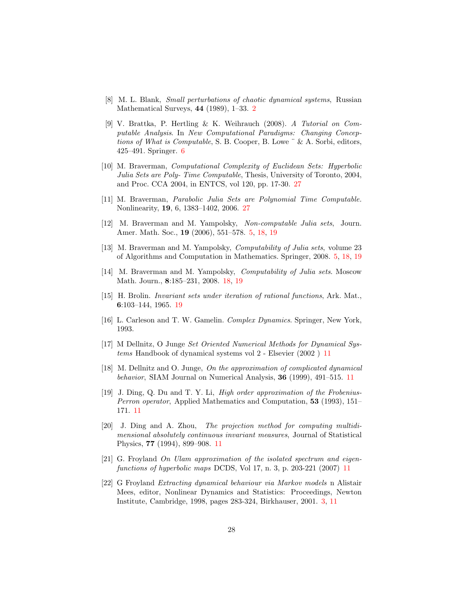- [8] M. L. Blank, Small perturbations of chaotic dynamical systems, Russian Mathematical Surveys, 44 (1989), 1–33. 2
- [9] V. Brattka, P. Hertling & K. Weihrauch (2008). A Tutorial on Computable Analysis. In New Computational Paradigms: Changing Conceptions of What is Computable, S. B. Cooper, B. Lowe ¨ & A. Sorbi, editors, 425–491. Springer. 6
- [10] M. Braverman, Computational Complexity of Euclidean Sets: Hyperbolic Julia Sets are Poly- Time Computable, Thesis, University of Toronto, 2004, and Proc. CCA 2004, in ENTCS, vol 120, pp. 17-30. 27
- [11] M. Braverman, Parabolic Julia Sets are Polynomial Time Computable. Nonlinearity, 19, 6, 1383–1402, 2006. 27
- [12] M. Braverman and M. Yampolsky, Non-computable Julia sets, Journ. Amer. Math. Soc., 19 (2006), 551–578. 5, 18, 19
- [13] M. Braverman and M. Yampolsky, Computability of Julia sets, volume 23 of Algorithms and Computation in Mathematics. Springer, 2008. 5, 18, 19
- [14] M. Braverman and M. Yampolsky, Computability of Julia sets. Moscow Math. Journ., 8:185–231, 2008. 18, 19
- [15] H. Brolin. Invariant sets under iteration of rational functions, Ark. Mat., 6:103–144, 1965. 19
- [16] L. Carleson and T. W. Gamelin. Complex Dynamics. Springer, New York, 1993.
- [17] M Dellnitz, O Junge Set Oriented Numerical Methods for Dynamical Systems Handbook of dynamical systems vol 2 - Elsevier (2002 ) 11
- [18] M. Dellnitz and O. Junge, On the approximation of complicated dynamical behavior, SIAM Journal on Numerical Analysis, 36 (1999), 491–515. 11
- [19] J. Ding, Q. Du and T. Y. Li, High order approximation of the Frobenius-Perron operator, Applied Mathematics and Computation, 53 (1993), 151– 171. 11
- [20] J. Ding and A. Zhou, The projection method for computing multidimensional absolutely continuous invariant measures, Journal of Statistical Physics, 77 (1994), 899–908. 11
- [21] G. Froyland On Ulam approximation of the isolated spectrum and eigenfunctions of hyperbolic maps DCDS, Vol 17, n. 3, p. 203-221 (2007) 11
- [22] G Froyland Extracting dynamical behaviour via Markov models n Alistair Mees, editor, Nonlinear Dynamics and Statistics: Proceedings, Newton Institute, Cambridge, 1998, pages 283-324, Birkhauser, 2001. 3, 11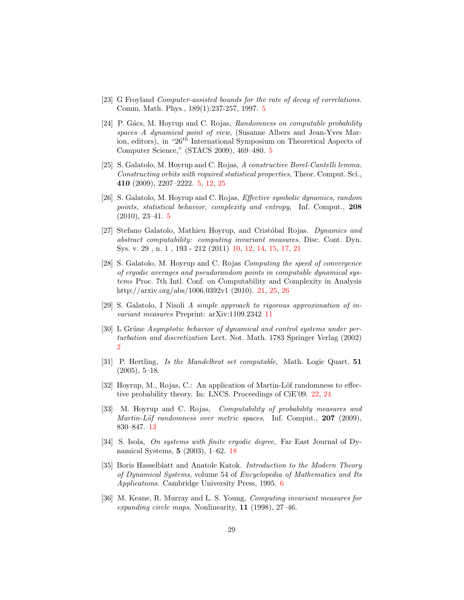- [23] G Froyland Computer-assisted bounds for the rate of decay of correlations. Comm. Math. Phys., 189(1):237-257, 1997. 5
- [24] P. Gács, M. Hoyrup and C. Rojas, Randomness on computable probability spaces–A dynamical point of view, (Susanne Albers and Jean-Yves Marion, editors), in " $26^{th}$  International Symposium on Theoretical Aspects of Computer Science," (STACS 2009), 469–480. 5
- [25] S. Galatolo, M. Hoyrup and C. Rojas, A constructive Borel-Cantelli lemma. Constructing orbits with required statistical properties, Theor. Comput. Sci., 410 (2009), 2207–2222. 5, 12, 25
- [26] S. Galatolo, M. Hoyrup and C. Rojas, Effective symbolic dynamics, random points, statistical behavior, complexity and entropy, Inf. Comput., 208 (2010), 23–41. 5
- [27] Stefano Galatolo, Mathieu Hoyrup, and Cristóbal Rojas. Dynamics and abstract computability: computing invariant measures. Disc. Cont. Dyn. Sys. v. 29 , n. 1 , 193 - 212 (2011) 10, 12, 14, 15, 17, 21
- [28] S. Galatolo, M. Hoyrup and C. Rojas Computing the speed of convergence of ergodic averages and pseudorandom points in computable dynamical systems Proc. 7th Intl. Conf. on Computability and Complexity in Analysis http://arxiv.org/abs/1006.0392v1 (2010). 21, 25, 26
- [29] S. Galatolo, I Nisoli A simple approach to rigorous approximation of invariant measures Preprint: arXiv:1109.2342 11
- [30] L Grüne Asymptotic behavior of dynamical and control systems under perturbation and discretization Lect. Not. Math. 1783 Springer Verlag (2002)  $\overline{2}$
- [31] P. Hertling, Is the Mandelbrot set computable, Math. Logic Quart, 51  $(2005), 5-18.$
- [32] Hoyrup, M., Rojas, C.: An application of Martin-Löf randomness to effective probability theory. In: LNCS. Proceedings of CiE'09. 22, 24
- [33] M. Hoyrup and C. Rojas, Computability of probability measures and Martin-Löf randomness over metric spaces, Inf. Comput., 207 (2009), 830–847. 13
- [34] S. Isola, On systems with finite ergodic degree, Far East Journal of Dynamical Systems, 5 (2003), 1–62. 18
- [35] Boris Hasselblatt and Anatole Katok. Introduction to the Modern Theory of Dynamical Systems, volume 54 of Encyclopedia of Mathematics and Its Applications. Cambridge University Press, 1995. 6
- [36] M. Keane, R. Murray and L. S. Young, Computing invariant measures for expanding circle maps, Nonlinearity, 11 (1998), 27-46.